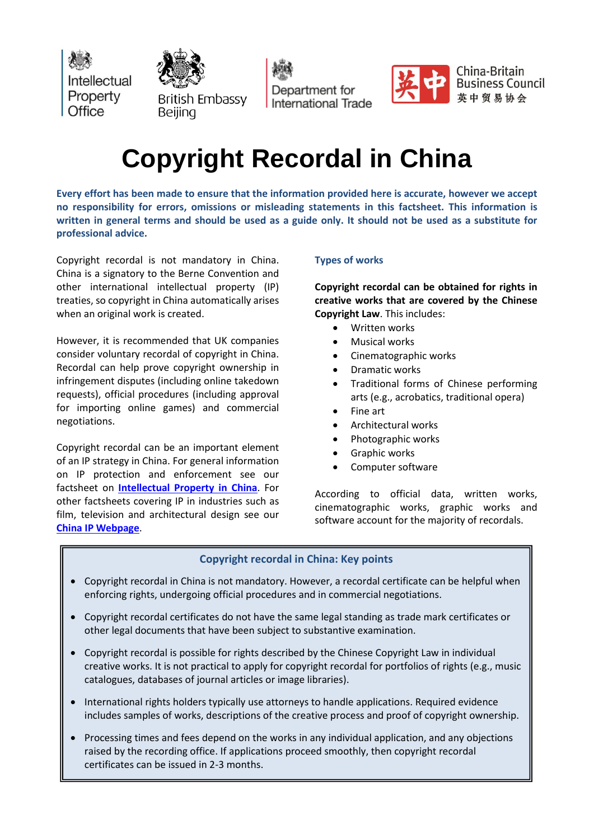Intellectual Property Office



Department for **International Trade** 



China-Britain **Business Council** 英中贸易协会

# **Copyright Recordal in China**

**Every effort has been made to ensure that the information provided here is accurate, however we accept no responsibility for errors, omissions or misleading statements in this factsheet. This information is** written in general terms and should be used as a guide only. It should not be used as a substitute for **professional advice.**

Copyright recordal is not mandatory in China. China is a signatory to the Berne Convention and other international intellectual property (IP) treaties, so copyright in China automatically arises when an original work is created.

However, it is recommended that UK companies consider voluntary recordal of copyright in China. Recordal can help prove copyright ownership in infringement disputes (including online takedown requests), official procedures (including approval for importing online games) and commercial negotiations.

Copyright recordal can be an important element of an IP strategy in China. For general information on IP protection and enforcement see our factsheet on **[Intellectual](https://www.gov.uk/government/publications/factsheet-on-intellectual-property-in-china) Property in China**. For other factsheets covering IP in industries such as film, television and architectural design see our **China IP [Webpage](https://www.gov.uk/government/case-studies/uk-china-cooperation-on-intellectual-property)**.

## **Types of works**

**Copyright recordal can be obtained for rights in creative works that are covered by the Chinese Copyright Law**. This includes:

- Written works
- Musical works
- Cinematographic works
- Dramatic works
- Traditional forms of Chinese performing arts (e.g., acrobatics, traditional opera)
- Fine art
- Architectural works
- Photographic works
- Graphic works
- Computer software

According to official data, written works, cinematographic works, graphic works and software account for the majority of recordals.

### **Copyright recordal in China: Key points**

- Copyright recordal in China is not mandatory. However, a recordal certificate can be helpful when enforcing rights, undergoing official procedures and in commercial negotiations.
- Copyright recordal certificates do not have the same legal standing as trade mark certificates or other legal documents that have been subject to substantive examination.
- Copyright recordal is possible for rights described by the Chinese Copyright Law in individual creative works. It is not practical to apply for copyright recordal for portfolios of rights (e.g., music catalogues, databases of journal articles or image libraries).
- International rights holders typically use attorneys to handle applications. Required evidence includes samples of works, descriptions of the creative process and proof of copyright ownership.
- Processing times and fees depend on the works in any individual application, and any objections raised by the recording office. If applications proceed smoothly, then copyright recordal certificates can be issued in 2-3 months.